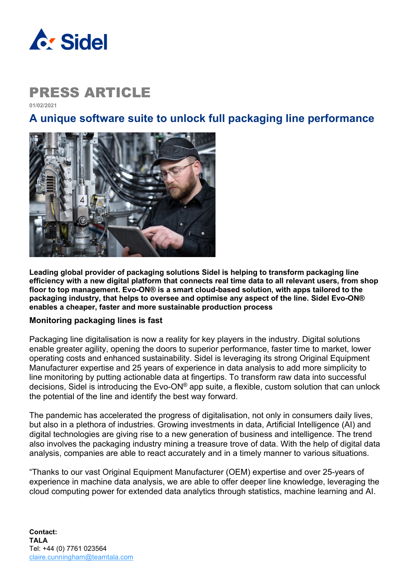

**01/02/2021**

### **A unique software suite to unlock full packaging line performance**



**Leading global provider of packaging solutions Sidel is helping to transform packaging line efficiency with a new digital platform that connects real time data to all relevant users, from shop floor to top management. Evo-ON® is a smart cloud-based solution, with apps tailored to the packaging industry, that helps to oversee and optimise any aspect of the line. Sidel Evo-ON® enables a cheaper, faster and more sustainable production process** 

#### **Monitoring packaging lines is fast**

Packaging line digitalisation is now a reality for key players in the industry. Digital solutions enable greater agility, opening the doors to superior performance, faster time to market, lower operating costs and enhanced sustainability. Sidel is leveraging its strong Original Equipment Manufacturer expertise and 25 years of experience in data analysis to add more simplicity to line monitoring by putting actionable data at fingertips. To transform raw data into successful decisions, Sidel is introducing the Evo-ON® app suite, a flexible, custom solution that can unlock the potential of the line and identify the best way forward.

The pandemic has accelerated the progress of digitalisation, not only in consumers daily lives, but also in a plethora of industries. Growing investments in data, Artificial Intelligence (AI) and digital technologies are giving rise to a new generation of business and intelligence. The trend also involves the packaging industry mining a treasure trove of data. With the help of digital data analysis, companies are able to react accurately and in a timely manner to various situations.

"Thanks to our vast Original Equipment Manufacturer (OEM) expertise and over 25-years of experience in machine data analysis, we are able to offer deeper line knowledge, leveraging the cloud computing power for extended data analytics through statistics, machine learning and AI.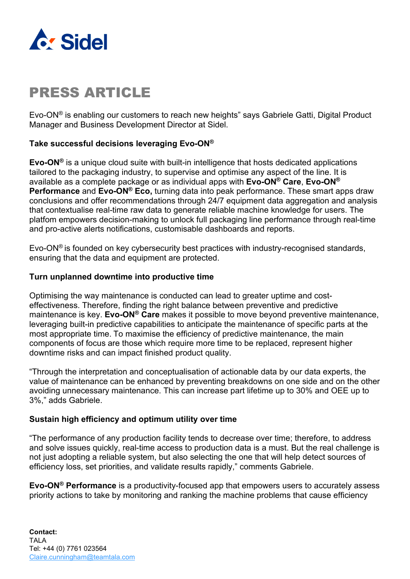

Evo-ON® is enabling our customers to reach new heights" says Gabriele Gatti, Digital Product Manager and Business Development Director at Sidel.

### **Take successful decisions leveraging Evo-ON®**

**Evo-ON®** is a unique cloud suite with built-in intelligence that hosts dedicated applications tailored to the packaging industry, to supervise and optimise any aspect of the line. It is available as a complete package or as individual apps with **Evo-ON® Care**, **Evo-ON® Performance** and **Evo-ON® Eco,** turning data into peak performance. These smart apps draw conclusions and offer recommendations through 24/7 equipment data aggregation and analysis that contextualise real-time raw data to generate reliable machine knowledge for users. The platfom empowers decision-making to unlock full packaging line performance through real-time and pro-active alerts notifications, customisable dashboards and reports.

Evo-ON® is founded on key cybersecurity best practices with industry-recognised standards, ensuring that the data and equipment are protected.

#### **Turn unplanned downtime into productive time**

Optimising the way maintenance is conducted can lead to greater uptime and costeffectiveness. Therefore, finding the right balance between preventive and predictive maintenance is key. **Evo-ON® Care** makes it possible to move beyond preventive maintenance, leveraging built-in predictive capabilities to anticipate the maintenance of specific parts at the most appropriate time. To maximise the efficiency of predictive maintenance, the main components of focus are those which require more time to be replaced, represent higher downtime risks and can impact finished product quality.

"Through the interpretation and conceptualisation of actionable data by our data experts, the value of maintenance can be enhanced by preventing breakdowns on one side and on the other avoiding unnecessary maintenance. This can increase part lifetime up to 30% and OEE up to 3%," adds Gabriele.

#### **Sustain high efficiency and optimum utility over time**

"The performance of any production facility tends to decrease over time; therefore, to address and solve issues quickly, real-time access to production data is a must. But the real challenge is not just adopting a reliable system, but also selecting the one that will help detect sources of efficiency loss, set priorities, and validate results rapidly," comments Gabriele.

**Evo-ON® Performance** is a productivity-focused app that empowers users to accurately assess priority actions to take by monitoring and ranking the machine problems that cause efficiency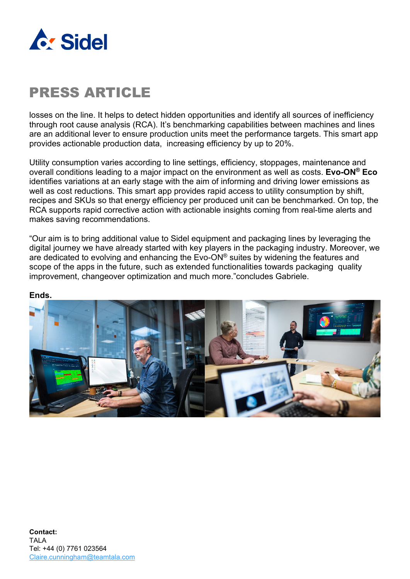

losses on the line. It helps to detect hidden opportunities and identify all sources of inefficiency through root cause analysis (RCA). It's benchmarking capabilities between machines and lines are an additional lever to ensure production units meet the performance targets. This smart app provides actionable production data, increasing efficiency by up to 20%.

Utility consumption varies according to line settings, efficiency, stoppages, maintenance and overall conditions leading to a major impact on the environment as well as costs. **Evo-ON® Eco** identifies variations at an early stage with the aim of informing and driving lower emissions as well as cost reductions. This smart app provides rapid access to utility consumption by shift, recipes and SKUs so that energy efficiency per produced unit can be benchmarked. On top, the RCA supports rapid corrective action with actionable insights coming from real-time alerts and makes saving recommendations.

"Our aim is to bring additional value to Sidel equipment and packaging lines by leveraging the digital journey we have already started with key players in the packaging industry. Moreover, we are dedicated to evolving and enhancing the  $\text{Evo-ON}^{\textcircled{\tiny{\textregistered}}}$  suites by widening the features and scope of the apps in the future, such as extended functionalities towards packaging quality improvement, changeover optimization and much more."concludes Gabriele.

#### **Ends.**

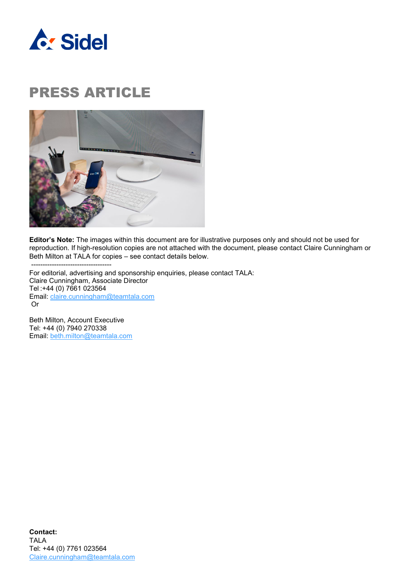



**Editor's Note:** The images within this document are for illustrative purposes only and should not be used for reproduction. If high-resolution copies are not attached with the document, please contact Claire Cunningham or Beth Milton at TALA for copies – see contact details below.

----------------------------------- For editorial, advertising and sponsorship enquiries, please contact TALA: Claire Cunningham, Associate Director Tel :+44 (0) 7661 023564 Email: [claire.cunningham@teamtala.com](mailto:claire.cunningham@teamtala.com) Or

Beth Milton, Account Executive Tel: +44 (0) 7940 270338 Email: [beth.milton@teamtala.com](mailto:beth.milton@teamtala.com)